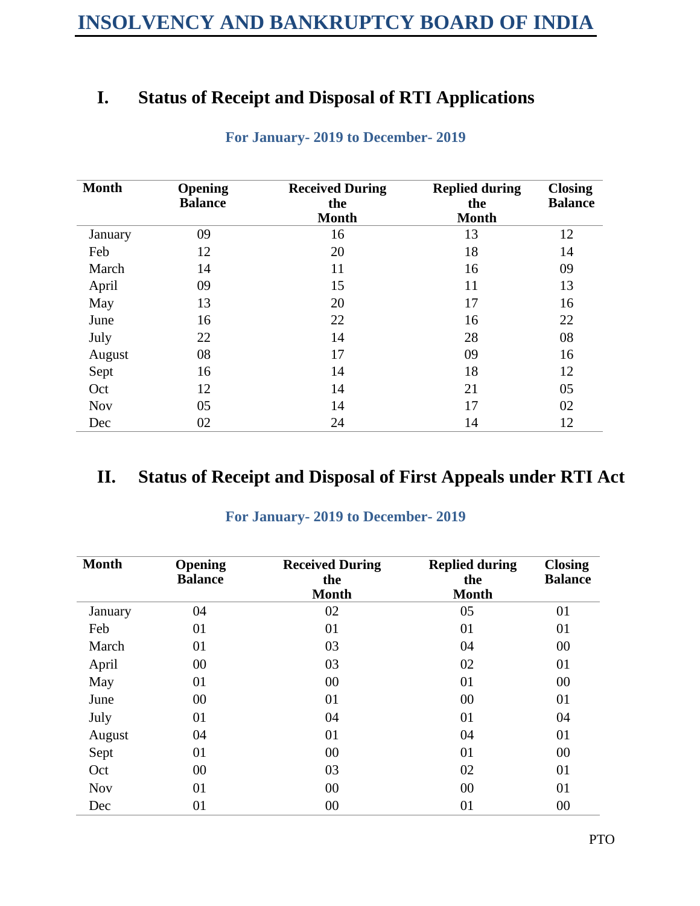# **I. Status of Receipt and Disposal of RTI Applications**

| <b>Month</b> | <b>Opening</b> | <b>Received During</b> | <b>Replied during</b> | <b>Closing</b> |
|--------------|----------------|------------------------|-----------------------|----------------|
|              | <b>Balance</b> | the                    | the                   | <b>Balance</b> |
|              |                | <b>Month</b>           | <b>Month</b>          |                |
| January      | 09             | 16                     | 13                    | 12             |
| Feb          | 12             | 20                     | 18                    | 14             |
| March        | 14             | 11                     | 16                    | 09             |
| April        | 09             | 15                     | 11                    | 13             |
| May          | 13             | 20                     | 17                    | 16             |
| June         | 16             | 22                     | 16                    | 22             |
| July         | 22             | 14                     | 28                    | 08             |
| August       | 08             | 17                     | 09                    | 16             |
| Sept         | 16             | 14                     | 18                    | 12             |
| Oct          | 12             | 14                     | 21                    | 05             |
| <b>Nov</b>   | 05             | 14                     | 17                    | 02             |
| Dec          | 02             | 24                     | 14                    | 12             |

## **For January- 2019 to December- 2019**

## **II. Status of Receipt and Disposal of First Appeals under RTI Act**

| <b>Month</b> | Opening<br><b>Balance</b> | <b>Received During</b><br>the<br><b>Month</b> | <b>Replied during</b><br>the<br><b>Month</b> | <b>Closing</b><br><b>Balance</b> |
|--------------|---------------------------|-----------------------------------------------|----------------------------------------------|----------------------------------|
| January      | 04                        | 02                                            | 05                                           | 01                               |
| Feb          | 01                        | 01                                            | 01                                           | 01                               |
| March        | 01                        | 03                                            | 04                                           | 00                               |
| April        | 00                        | 03                                            | 02                                           | 01                               |
| May          | 01                        | 00                                            | 01                                           | 00                               |
| June         | 00                        | 01                                            | 00                                           | 01                               |
| July         | 01                        | 04                                            | 01                                           | 04                               |
| August       | 04                        | 01                                            | 04                                           | 01                               |
| Sept         | 01                        | 00                                            | 01                                           | 00                               |
| Oct          | 00                        | 03                                            | 02                                           | 01                               |
| <b>Nov</b>   | 01                        | 00                                            | 00                                           | 01                               |
| Dec          | 01                        | 00                                            | 01                                           | 00                               |

### **For January- 2019 to December- 2019**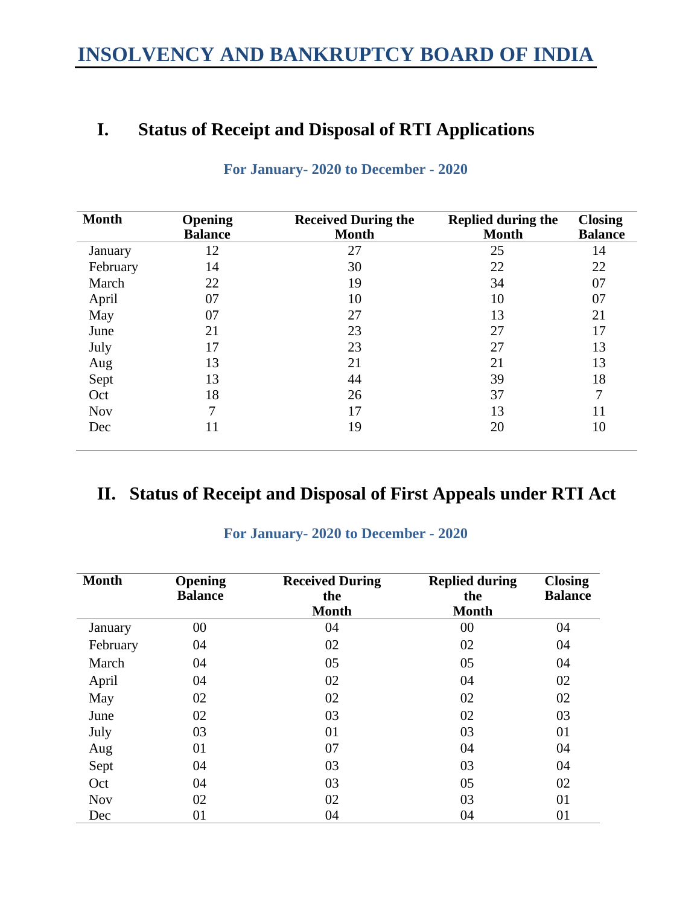# **INSOLVENCY AND BANKRUPTCY BOARD OF INDIA**

# **I. Status of Receipt and Disposal of RTI Applications**

| <b>Month</b> | <b>Opening</b> | <b>Received During the</b> | <b>Replied during the</b> | <b>Closing</b> |
|--------------|----------------|----------------------------|---------------------------|----------------|
|              | <b>Balance</b> | <b>Month</b>               | <b>Month</b>              | <b>Balance</b> |
| January      | 12             | 27                         | 25                        | 14             |
| February     | 14             | 30                         | 22                        | 22             |
| March        | 22             | 19                         | 34                        | 07             |
| April        | 07             | 10                         | 10                        | 07             |
| May          | 07             | 27                         | 13                        | 21             |
| June         | 21             | 23                         | 27                        | 17             |
| July         | 17             | 23                         | 27                        | 13             |
| Aug          | 13             | 21                         | 21                        | 13             |
| Sept         | 13             | 44                         | 39                        | 18             |
| Oct          | 18             | 26                         | 37                        | 7              |
| <b>Nov</b>   | 7              | 17                         | 13                        | 11             |
| Dec          | 11             | 19                         | 20                        | 10             |
|              |                |                            |                           |                |

## **For January- 2020 to December - 2020**

## **II. Status of Receipt and Disposal of First Appeals under RTI Act**

| <b>Month</b> | Opening<br><b>Balance</b> | <b>Received During</b><br>the<br><b>Month</b> | <b>Replied during</b><br>the<br><b>Month</b> | <b>Closing</b><br><b>Balance</b> |
|--------------|---------------------------|-----------------------------------------------|----------------------------------------------|----------------------------------|
| January      | $00\,$                    | 04                                            | 00                                           | 04                               |
| February     | 04                        | 02                                            | 02                                           | 04                               |
| March        | 04                        | 05                                            | 05                                           | 04                               |
| April        | 04                        | 02                                            | 04                                           | 02                               |
| May          | 02                        | 02                                            | 02                                           | 02                               |
| June         | 02                        | 03                                            | 02                                           | 03                               |
| July         | 03                        | 01                                            | 03                                           | 01                               |
| Aug          | 01                        | 07                                            | 04                                           | 04                               |
| Sept         | 04                        | 03                                            | 03                                           | 04                               |
| Oct          | 04                        | 03                                            | 05                                           | 02                               |
| <b>Nov</b>   | 02                        | 02                                            | 03                                           | 01                               |
| Dec          | 01                        | 04                                            | 04                                           | 01                               |

#### **For January- 2020 to December - 2020**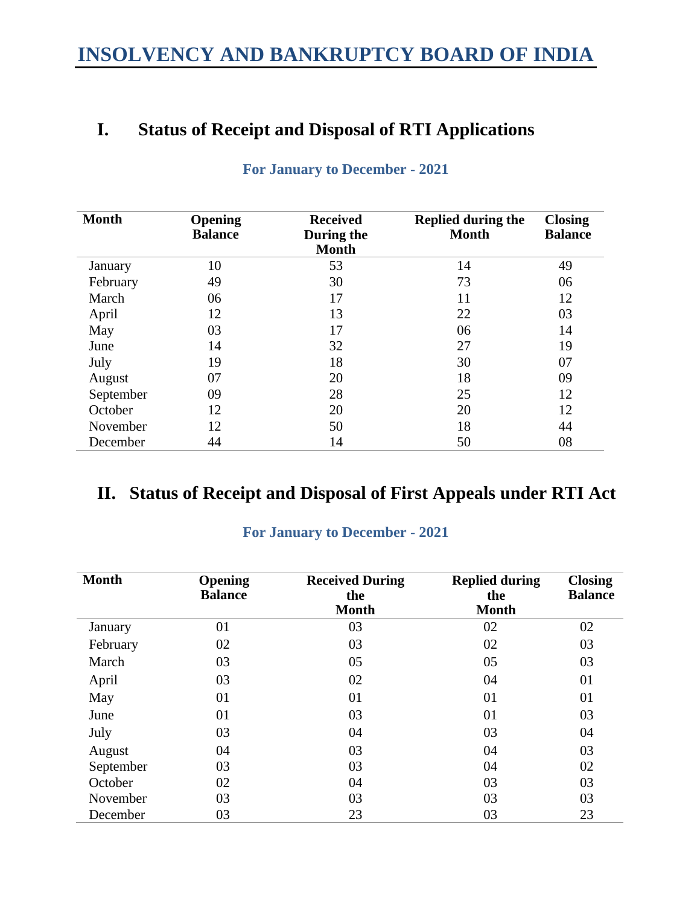# **INSOLVENCY AND BANKRUPTCY BOARD OF INDIA**

# **I. Status of Receipt and Disposal of RTI Applications**

| <b>Month</b> | Opening<br><b>Balance</b> | <b>Received</b><br>During the<br><b>Month</b> | <b>Replied during the</b><br><b>Month</b> | <b>Closing</b><br><b>Balance</b> |
|--------------|---------------------------|-----------------------------------------------|-------------------------------------------|----------------------------------|
| January      | 10                        | 53                                            | 14                                        | 49                               |
| February     | 49                        | 30                                            | 73                                        | 06                               |
| March        | 06                        | 17                                            | 11                                        | 12                               |
| April        | 12                        | 13                                            | 22                                        | 03                               |
| May          | 03                        | 17                                            | 06                                        | 14                               |
| June         | 14                        | 32                                            | 27                                        | 19                               |
| July         | 19                        | 18                                            | 30                                        | 07                               |
| August       | 07                        | 20                                            | 18                                        | 09                               |
| September    | 09                        | 28                                            | 25                                        | 12                               |
| October      | 12                        | 20                                            | 20                                        | 12                               |
| November     | 12                        | 50                                            | 18                                        | 44                               |
| December     | 44                        | 14                                            | 50                                        | 08                               |

## **For January to December - 2021**

## **II. Status of Receipt and Disposal of First Appeals under RTI Act**

| <b>Month</b> | Opening<br><b>Balance</b> | <b>Received During</b><br>the<br><b>Month</b> | <b>Replied during</b><br>the<br><b>Month</b> | <b>Closing</b><br><b>Balance</b> |
|--------------|---------------------------|-----------------------------------------------|----------------------------------------------|----------------------------------|
| January      | 01                        | 03                                            | 02                                           | 02                               |
| February     | 02                        | 03                                            | 02                                           | 03                               |
| March        | 03                        | 05                                            | 05                                           | 03                               |
| April        | 03                        | 02                                            | 04                                           | 01                               |
| May          | 01                        | 01                                            | 01                                           | 01                               |
| June         | 01                        | 03                                            | 01                                           | 03                               |
| July         | 03                        | 04                                            | 03                                           | 04                               |
| August       | 04                        | 03                                            | 04                                           | 03                               |
| September    | 03                        | 03                                            | 04                                           | 02                               |
| October      | 02                        | 04                                            | 03                                           | 03                               |
| November     | 03                        | 03                                            | 03                                           | 03                               |
| December     | 03                        | 23                                            | 03                                           | 23                               |

### **For January to December - 2021**